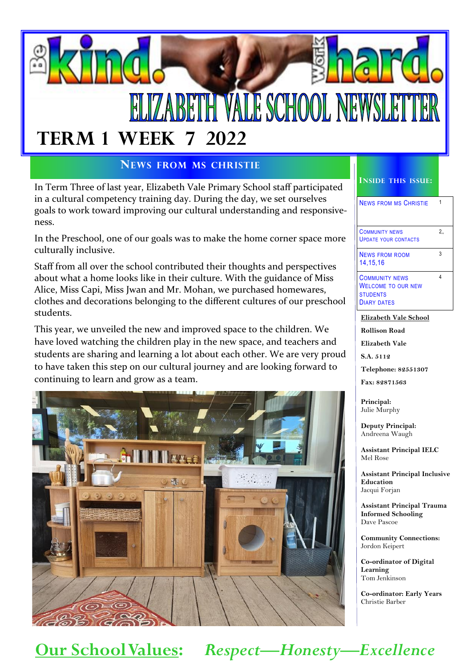# **ZABETH VALE SCHOOL NEW TERM 1 WEEK 7 2022**

#### **NEWS FROM MS CHRISTIE**

In Term Three of last year, Elizabeth Vale Primary School staff participated in a cultural competency training day. During the day, we set ourselves goals to work toward improving our cultural understanding and responsiveness.

In the Preschool, one of our goals was to make the home corner space more culturally inclusive.

Staff from all over the school contributed their thoughts and perspectives about what a home looks like in their culture. With the guidance of Miss Alice, Miss Capi, Miss Jwan and Mr. Mohan, we purchased homewares, clothes and decorations belonging to the different cultures of our preschool students.

This year, we unveiled the new and improved space to the children. We have loved watching the children play in the new space, and teachers and students are sharing and learning a lot about each other. We are very proud to have taken this step on our cultural journey and are looking forward to continuing to learn and grow as a team.



#### **INSIDE THIS ISSUE:**

| <b>NEWS FROM MS CHRISTIE</b>                         |   |
|------------------------------------------------------|---|
| <b>COMMUNITY NEWS</b><br><b>UPDATE YOUR CONTACTS</b> | 2 |

3

4

NEWS FROM ROOM 14,15,16

COMMUNITY NEWS WELCOME TO OUR NEW **STUDENTS** DIARY DATES

**Elizabeth Vale School**

**Rollison Road**

**Elizabeth Vale**

**S.A. 5112**

**Telephone: 82551307**

**Fax: 82871563**

**Principal:** Julie Murphy

**Deputy Principal:** Andreena Waugh

**Assistant Principal IELC** Mel Rose

**Assistant Principal Inclusive Education** Jacqui Forjan

**Assistant Principal Trauma Informed Schooling** Dave Pascoe

**Community Connections:** Jordon Keipert

**Co-ordinator of Digital Learning** Tom Jenkinson

**Co-ordinator: Early Years** Christie Barber

# **Our School Values:** *Respect—Honesty—Excellence*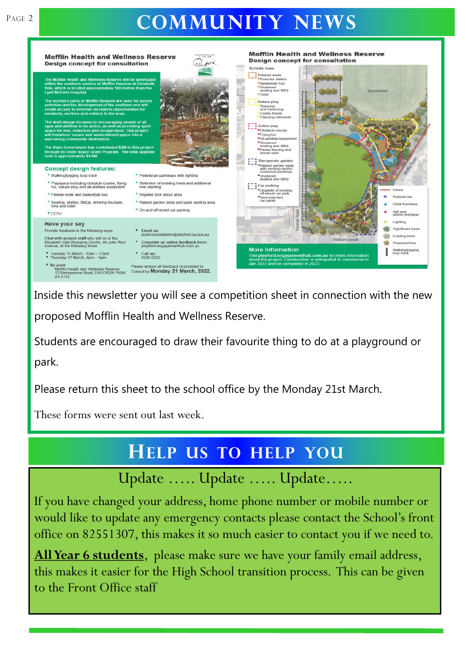# PAGE 2 **COMMUNITY NEWS**



Inside this newsletter you will see a competition sheet in connection with the new proposed Mofflin Health and Wellness Reserve.

Students are encouraged to draw their favourite thing to do at a playground or park.

Please return this sheet to the school office by the Monday 21st March.

These forms were sent out last week.

# **HELP US TO HELP YOU**

Update ….. Update ….. Update…..

If you have changed your address, home phone number or mobile number or would like to update any emergency contacts please contact the School's front office on 82551307, this makes it so much easier to contact you if we need to.

**All Year 6 students**, please make sure we have your family email address, this makes it easier for the High School transition process. This can be given to the Front Office staff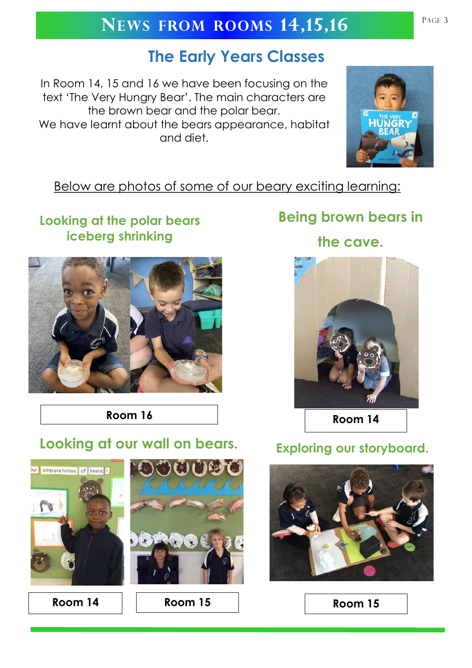# **NEWS FROM ROOMS 14,15,16** PAGE 3

# **The Early Years Classes**

In Room 14, 15 and 16 we have been focusing on the text 'The Very Hungry Bear'. The main characters are the brown bear and the polar bear. We have learnt about the bears appearance, habitat and diet.



### Below are photos of some of our beary exciting learning:

## **Looking at the polar bears iceberg shrinking**



**Room 16 Room 14** 

# **Looking at our wall on bears. Exploring our storyboard.**





**Room 14 Room 15 Room 15**

# **Being brown bears in**

**the cave.**